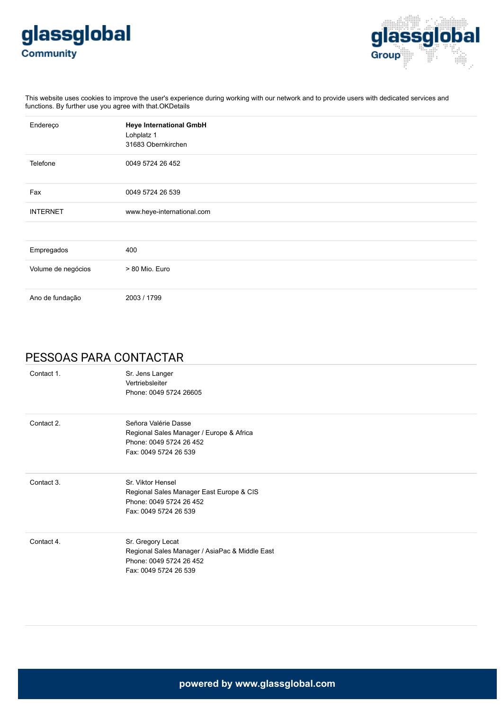



This website uses cookies to improve the user's experience during working with our network and to provide users with dedicated services and functions. By further use you agree with that.OKDetails

| Endereço           | <b>Heye International GmbH</b><br>Lohplatz 1<br>31683 Obernkirchen |
|--------------------|--------------------------------------------------------------------|
| Telefone           | 0049 5724 26 452                                                   |
| Fax                | 0049 5724 26 539                                                   |
| <b>INTERNET</b>    | www.heye-international.com                                         |
|                    |                                                                    |
| Empregados         | 400                                                                |
| Volume de negócios | > 80 Mio. Euro                                                     |
| Ano de fundação    | 2003 / 1799                                                        |

### PESSOAS PARA CONTACTAR

| Contact 1. | Sr. Jens Langer<br>Vertriebsleiter<br>Phone: 0049 5724 26605                                                            |
|------------|-------------------------------------------------------------------------------------------------------------------------|
| Contact 2. | Señora Valérie Dasse<br>Regional Sales Manager / Europe & Africa<br>Phone: 0049 5724 26 452<br>Fax: 0049 5724 26 539    |
| Contact 3. | Sr. Viktor Hensel<br>Regional Sales Manager East Europe & CIS<br>Phone: 0049 5724 26 452<br>Fax: 0049 5724 26 539       |
| Contact 4. | Sr. Gregory Lecat<br>Regional Sales Manager / AsiaPac & Middle East<br>Phone: 0049 5724 26 452<br>Fax: 0049 5724 26 539 |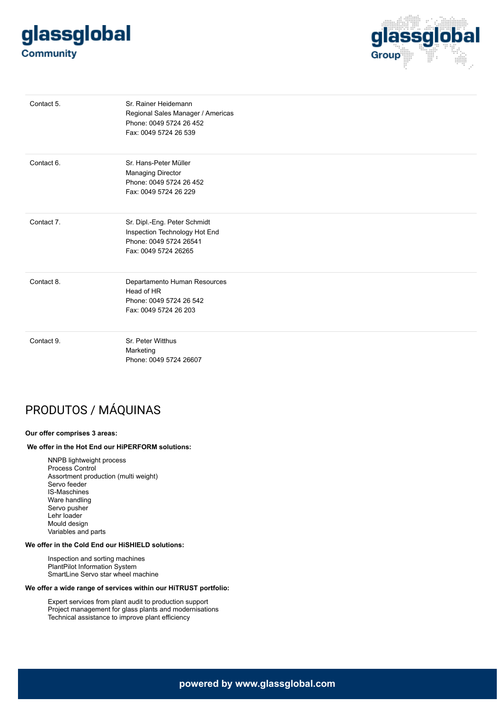# glassglobal **Community**



| Contact 5. | Sr. Rainer Heidemann<br>Regional Sales Manager / Americas<br>Phone: 0049 5724 26 452<br>Fax: 0049 5724 26 539   |
|------------|-----------------------------------------------------------------------------------------------------------------|
| Contact 6. | Sr. Hans-Peter Müller<br>Managing Director<br>Phone: 0049 5724 26 452<br>Fax: 0049 5724 26 229                  |
| Contact 7. | Sr. Dipl.-Eng. Peter Schmidt<br>Inspection Technology Hot End<br>Phone: 0049 5724 26541<br>Fax: 0049 5724 26265 |
| Contact 8. | Departamento Human Resources<br>Head of HR<br>Phone: 0049 5724 26 542<br>Fax: 0049 5724 26 203                  |
| Contact 9. | Sr. Peter Witthus<br>Marketing<br>Phone: 0049 5724 26607                                                        |

## PRODUTOS / MÁQUINAS

#### **Our offer comprises 3 areas:**

#### **We offer in the Hot End our HiPERFORM solutions:**

NNPB lightweight process Process Control Assortment production (multi weight) Servo feeder IS-Maschines Ware handling Servo pusher Lehr loader Mould design Variables and parts

#### **We offer in the Cold End our HiSHIELD solutions:**

Inspection and sorting machines PlantPilot Information System SmartLine Servo star wheel machine

#### **We offer a wide range of services within our HiTRUST portfolio:**

Expert services from plant audit to production support Project management for glass plants and modernisations Technical assistance to improve plant efficiency